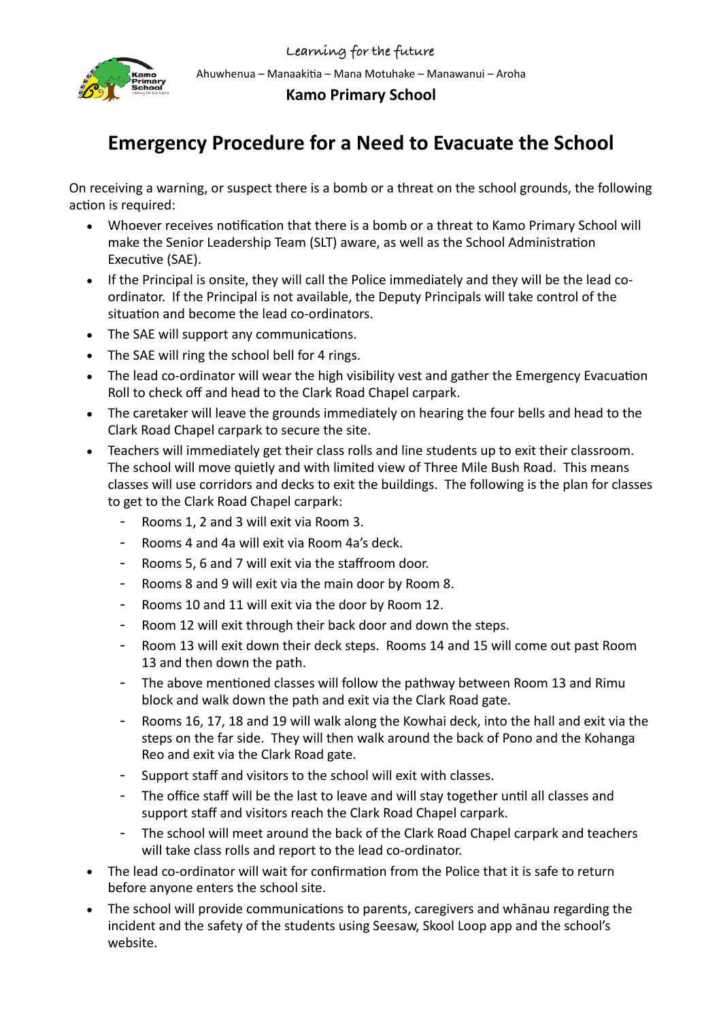

**Kamo Primary School** 

## **Emergency Procedure for a Need to Evacuate the School**

On receiving a warning, or suspect there is a bomb or a threat on the school grounds, the following action is required:

- Whoever receives notification that there is a bomb or a threat to Kamo Primary School will make the Senior Leadership Team (SLT) aware, as well as the School Administration Executive (SAE).
- If the Principal is onsite, they will call the Police immediately and they will be the lead coordinator. If the Principal is not available, the Deputy Principals will take control of the situation and become the lead co-ordinators.
- The SAE will support any communications.
- The SAE will ring the school bell for 4 rings.
- The lead co-ordinator will wear the high visibility vest and gather the Emergency Evacuation Roll to check off and head to the Clark Road Chapel carpark.
- The caretaker will leave the grounds immediately on hearing the four bells and head to the Clark Road Chapel carpark to secure the site.
- Teachers will immediately get their class rolls and line students up to exit their classroom. The school will move quietly and with limited view of Three Mile Bush Road. This means classes will use corridors and decks to exit the buildings. The following is the plan for classes to get to the Clark Road Chapel carpark:
	- Rooms 1, 2 and 3 will exit via Room 3.
	- Rooms 4 and 4a will exit via Room 4a's deck.
	- Rooms 5, 6 and 7 will exit via the staffroom door.
	- Rooms 8 and 9 will exit via the main door by Room 8.
	- Rooms 10 and 11 will exit via the door by Room 12.
	- Room 12 will exit through their back door and down the steps.
	- Room 13 will exit down their deck steps. Rooms 14 and 15 will come out past Room 13 and then down the path.
	- The above mentioned classes will follow the pathway between Room 13 and Rimu block and walk down the path and exit via the Clark Road gate.
	- Rooms 16, 17, 18 and 19 will walk along the Kowhai deck, into the hall and exit via the steps on the far side. They will then walk around the back of Pono and the Kohanga Reo and exit via the Clark Road gate.
	- Support staff and visitors to the school will exit with classes.
	- The office staff will be the last to leave and will stay together until all classes and support staff and visitors reach the Clark Road Chapel carpark.
	- The school will meet around the back of the Clark Road Chapel carpark and teachers will take class rolls and report to the lead co-ordinator.
- The lead co-ordinator will wait for confirmation from the Police that it is safe to return before anyone enters the school site.
- The school will provide communications to parents, caregivers and whanau regarding the incident and the safety of the students using Seesaw, Skool Loop app and the school's website.